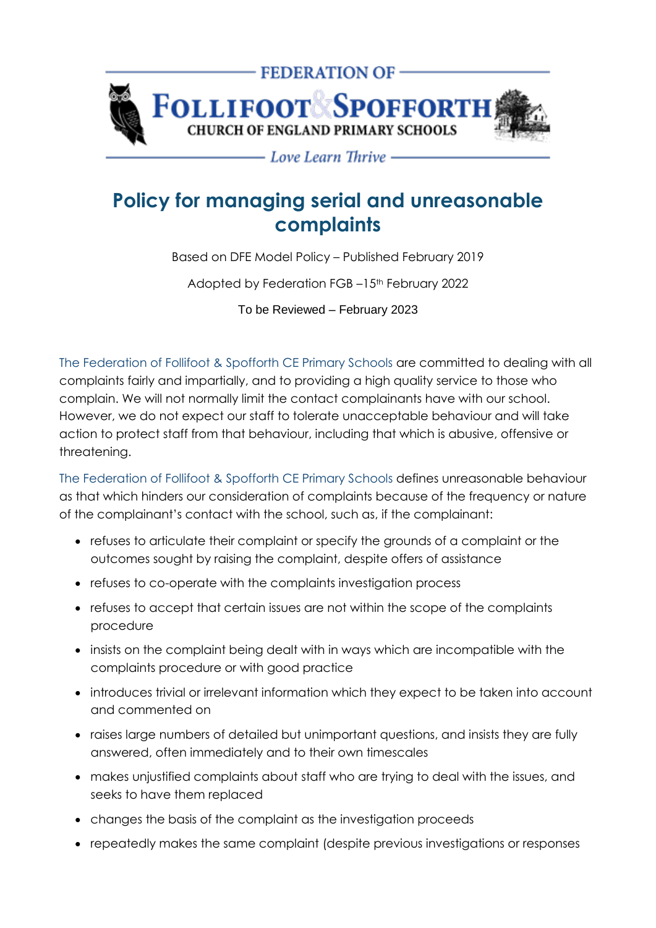

- Love Learn Thrive -

## **Policy for managing serial and unreasonable complaints**

Based on DFE Model Policy – Published February 2019

Adopted by Federation FGB –15<sup>th</sup> February 2022

To be Reviewed – February 2023

The Federation of Follifoot & Spofforth CE Primary Schools are committed to dealing with all complaints fairly and impartially, and to providing a high quality service to those who complain. We will not normally limit the contact complainants have with our school. However, we do not expect our staff to tolerate unacceptable behaviour and will take action to protect staff from that behaviour, including that which is abusive, offensive or threatening.

The Federation of Follifoot & Spofforth CE Primary Schools defines unreasonable behaviour as that which hinders our consideration of complaints because of the frequency or nature of the complainant's contact with the school, such as, if the complainant:

- refuses to articulate their complaint or specify the grounds of a complaint or the outcomes sought by raising the complaint, despite offers of assistance
- refuses to co-operate with the complaints investigation process
- refuses to accept that certain issues are not within the scope of the complaints procedure
- insists on the complaint being dealt with in ways which are incompatible with the complaints procedure or with good practice
- introduces trivial or irrelevant information which they expect to be taken into account and commented on
- raises large numbers of detailed but unimportant questions, and insists they are fully answered, often immediately and to their own timescales
- makes unjustified complaints about staff who are trying to deal with the issues, and seeks to have them replaced
- changes the basis of the complaint as the investigation proceeds
- repeatedly makes the same complaint (despite previous investigations or responses